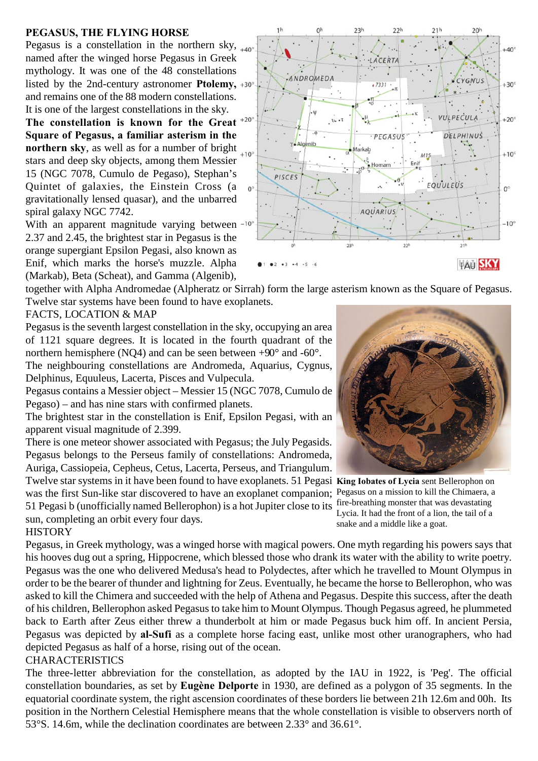### **PEGASUS, THE FLYING HORSE**

Pegasus is a constellation in the northern sky,  $_{+40^\circ}$ named after the winged horse Pegasus in Greek mythology. It was one of the 48 constellations listed by the 2nd-century astronomer **Ptolemy,** and remains one of the 88 modern constellations. It is one of the largest constellations in the sky.

**The constellation is known for the Great Square of Pegasus, a familiar asterism in the northern sky**, as well as for a number of bright  $_{+10^{\circ}}$ stars and deep sky objects, among them Messier 15 (NGC 7078, Cumulo de Pegaso), Stephan's Quintet of galaxies, the Einstein Cross (a gravitationally lensed quasar), and the unbarred spiral galaxy NGC 7742.

With an apparent magnitude varying between<sup>-10</sup> 2.37 and 2.45, the brightest star in Pegasus is the orange supergiant Epsilon Pegasi, also known as Enif, which marks the horse's muzzle. Alpha (Markab), Beta (Scheat), and Gamma (Algenib),



together with Alpha Andromedae (Alpheratz or Sirrah) form the large asterism known as the Square of Pegasus. Twelve star systems have been found to have exoplanets.

#### FACTS, LOCATION & MAP

Pegasus is the seventh largest constellation in the sky, occupying an area of 1121 square degrees. It is located in the fourth quadrant of the northern hemisphere (NQ4) and can be seen between +90° and -60°. The neighbouring constellations are Andromeda, Aquarius, Cygnus, Delphinus, Equuleus, Lacerta, Pisces and Vulpecula.

Pegasus contains a Messier object – Messier 15 (NGC 7078, Cumulo de Pegaso) – and has nine stars with confirmed planets.

The brightest star in the constellation is Enif, Epsilon Pegasi, with an apparent visual magnitude of 2.399.

There is one meteor shower associated with Pegasus; the July Pegasids. Pegasus belongs to the Perseus family of constellations: Andromeda, Auriga, Cassiopeia, Cepheus, Cetus, Lacerta, Perseus, and Triangulum.

Twelve star systems in it have been found to have exoplanets. 51 Pegasi King Iobates of Lycia sent Bellerophon on was the first Sun-like star discovered to have an exoplanet companion; Pegasus on a mission to kill the Chimaera, a 51 Pegasi b (unofficially named Bellerophon) is a hot Jupiter close to its fire-breathing monster that was devastating sun, completing an orbit every four days.



Lycia. It had the front of a lion, the tail of a snake and a middle like a goat.

## **HISTORY**

Pegasus, in Greek mythology, was a winged horse with magical powers. One myth regarding his powers says that his hooves dug out a spring, Hippocrene, which blessed those who drank its water with the ability to write poetry. Pegasus was the one who delivered Medusa's head to Polydectes, after which he travelled to Mount Olympus in order to be the bearer of thunder and lightning for Zeus. Eventually, he became the horse to Bellerophon, who was asked to kill the Chimera and succeeded with the help of Athena and Pegasus. Despite this success, after the death of his children, Bellerophon asked Pegasus to take him to Mount Olympus. Though Pegasus agreed, he plummeted back to Earth after Zeus either threw a thunderbolt at him or made Pegasus buck him off. In ancient Persia, Pegasus was depicted by **al-Sufi** as a complete horse facing east, unlike most other uranographers, who had depicted Pegasus as half of a horse, rising out of the ocean.

## **CHARACTERISTICS**

The three-letter abbreviation for the constellation, as adopted by the IAU in 1922, is 'Peg'. The official constellation boundaries, as set by **Eugène Delporte** in 1930, are defined as a polygon of 35 segments. In the equatorial coordinate system, the right ascension coordinates of these borders lie between 21h 12.6m and 00h. Its position in the Northern Celestial Hemisphere means that the whole constellation is visible to observers north of 53°S. 14.6m, while the declination coordinates are between 2.33° and 36.61°.